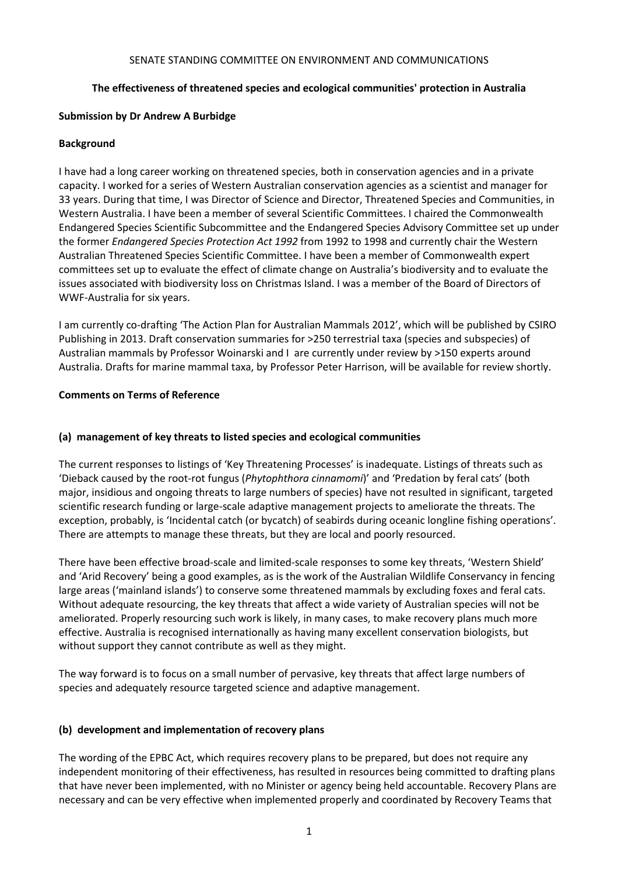#### SENATE STANDING COMMITTEE ON ENVIRONMENT AND COMMUNICATIONS

# **The effectiveness of threatened species and ecological communities' protection in Australia**

### **Submission by Dr Andrew A Burbidge**

### **Background**

I have had a long career working on threatened species, both in conservation agencies and in a private capacity. I worked for a series of Western Australian conservation agencies as a scientist and manager for 33 years. During that time, I was Director of Science and Director, Threatened Species and Communities, in Western Australia. I have been a member of several Scientific Committees. I chaired the Commonwealth Endangered Species Scientific Subcommittee and the Endangered Species Advisory Committee set up under the former *Endangered Species Protection Act 1992* from 1992 to 1998 and currently chair the Western Australian Threatened Species Scientific Committee. I have been a member of Commonwealth expert committees set up to evaluate the effect of climate change on Australia's biodiversity and to evaluate the issues associated with biodiversity loss on Christmas Island. I was a member of the Board of Directors of WWF-Australia for six years.

I am currently co-drafting 'The Action Plan for Australian Mammals 2012', which will be published by CSIRO Publishing in 2013. Draft conservation summaries for >250 terrestrial taxa (species and subspecies) of Australian mammals by Professor Woinarski and I are currently under review by >150 experts around Australia. Drafts for marine mammal taxa, by Professor Peter Harrison, will be available for review shortly.

### **Comments on Terms of Reference**

### **(a) management of key threats to listed species and ecological communities**

The current responses to listings of 'Key Threatening Processes' is inadequate. Listings of threats such as 'Dieback caused by the root-rot fungus (*Phytophthora cinnamomi*)' and 'Predation by feral cats' (both major, insidious and ongoing threats to large numbers of species) have not resulted in significant, targeted scientific research funding or large-scale adaptive management projects to ameliorate the threats. The exception, probably, is 'Incidental catch (or bycatch) of seabirds during oceanic longline fishing operations'. There are attempts to manage these threats, but they are local and poorly resourced.

There have been effective broad-scale and limited-scale responses to some key threats, 'Western Shield' and 'Arid Recovery' being a good examples, as is the work of the Australian Wildlife Conservancy in fencing large areas ('mainland islands') to conserve some threatened mammals by excluding foxes and feral cats. Without adequate resourcing, the key threats that affect a wide variety of Australian species will not be ameliorated. Properly resourcing such work is likely, in many cases, to make recovery plans much more effective. Australia is recognised internationally as having many excellent conservation biologists, but without support they cannot contribute as well as they might.

The way forward is to focus on a small number of pervasive, key threats that affect large numbers of species and adequately resource targeted science and adaptive management.

# **(b) development and implementation of recovery plans**

The wording of the EPBC Act, which requires recovery plans to be prepared, but does not require any independent monitoring of their effectiveness, has resulted in resources being committed to drafting plans that have never been implemented, with no Minister or agency being held accountable. Recovery Plans are necessary and can be very effective when implemented properly and coordinated by Recovery Teams that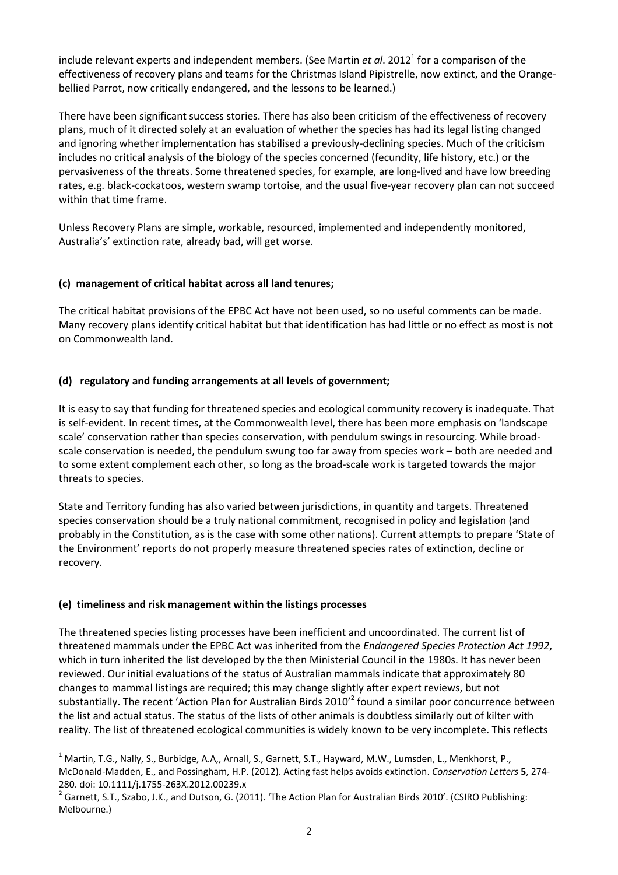include relevant experts and independent members. (See Martin *et al*. 2012<sup>1</sup> for a comparison of the effectiveness of recovery plans and teams for the Christmas Island Pipistrelle, now extinct, and the Orangebellied Parrot, now critically endangered, and the lessons to be learned.)

There have been significant success stories. There has also been criticism of the effectiveness of recovery plans, much of it directed solely at an evaluation of whether the species has had its legal listing changed and ignoring whether implementation has stabilised a previously-declining species. Much of the criticism includes no critical analysis of the biology of the species concerned (fecundity, life history, etc.) or the pervasiveness of the threats. Some threatened species, for example, are long-lived and have low breeding rates, e.g. black-cockatoos, western swamp tortoise, and the usual five-year recovery plan can not succeed within that time frame.

Unless Recovery Plans are simple, workable, resourced, implemented and independently monitored, Australia's' extinction rate, already bad, will get worse.

### **(c) management of critical habitat across all land tenures;**

The critical habitat provisions of the EPBC Act have not been used, so no useful comments can be made. Many recovery plans identify critical habitat but that identification has had little or no effect as most is not on Commonwealth land.

### **(d) regulatory and funding arrangements at all levels of government;**

It is easy to say that funding for threatened species and ecological community recovery is inadequate. That is self-evident. In recent times, at the Commonwealth level, there has been more emphasis on 'landscape scale' conservation rather than species conservation, with pendulum swings in resourcing. While broadscale conservation is needed, the pendulum swung too far away from species work – both are needed and to some extent complement each other, so long as the broad-scale work is targeted towards the major threats to species.

State and Territory funding has also varied between jurisdictions, in quantity and targets. Threatened species conservation should be a truly national commitment, recognised in policy and legislation (and probably in the Constitution, as is the case with some other nations). Current attempts to prepare 'State of the Environment' reports do not properly measure threatened species rates of extinction, decline or recovery.

#### **(e) timeliness and risk management within the listings processes**

l

The threatened species listing processes have been inefficient and uncoordinated. The current list of threatened mammals under the EPBC Act was inherited from the *Endangered Species Protection Act 1992*, which in turn inherited the list developed by the then Ministerial Council in the 1980s. It has never been reviewed. Our initial evaluations of the status of Australian mammals indicate that approximately 80 changes to mammal listings are required; this may change slightly after expert reviews, but not substantially. The recent 'Action Plan for Australian Birds 2010'<sup>2</sup> found a similar poor concurrence between the list and actual status. The status of the lists of other animals is doubtless similarly out of kilter with reality. The list of threatened ecological communities is widely known to be very incomplete. This reflects

 $^1$  Martin, T.G., Nally, S., Burbidge, A.A,, Arnall, S., Garnett, S.T., Hayward, M.W., Lumsden, L., Menkhorst, P., McDonald-Madden, E., and Possingham, H.P. (2012). Acting fast helps avoids extinction. *Conservation Letters* **5**, 274- 280. doi: 10.1111/j.1755-263X.2012.00239.x

 $^2$  Garnett, S.T., Szabo, J.K., and Dutson, G. (2011). 'The Action Plan for Australian Birds 2010'. (CSIRO Publishing: Melbourne.)